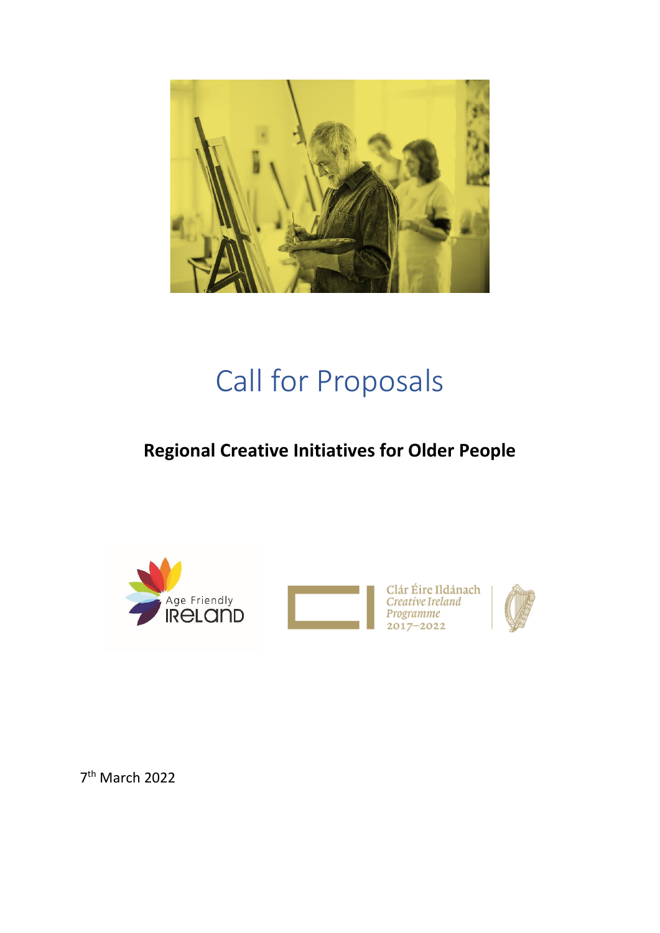

# Call for Proposals

# **Regional Creative Initiatives for Older People**





Clár Éire Ildánach<br>*Creative Ireland* Programme<br>2017–2022



7 th March 2022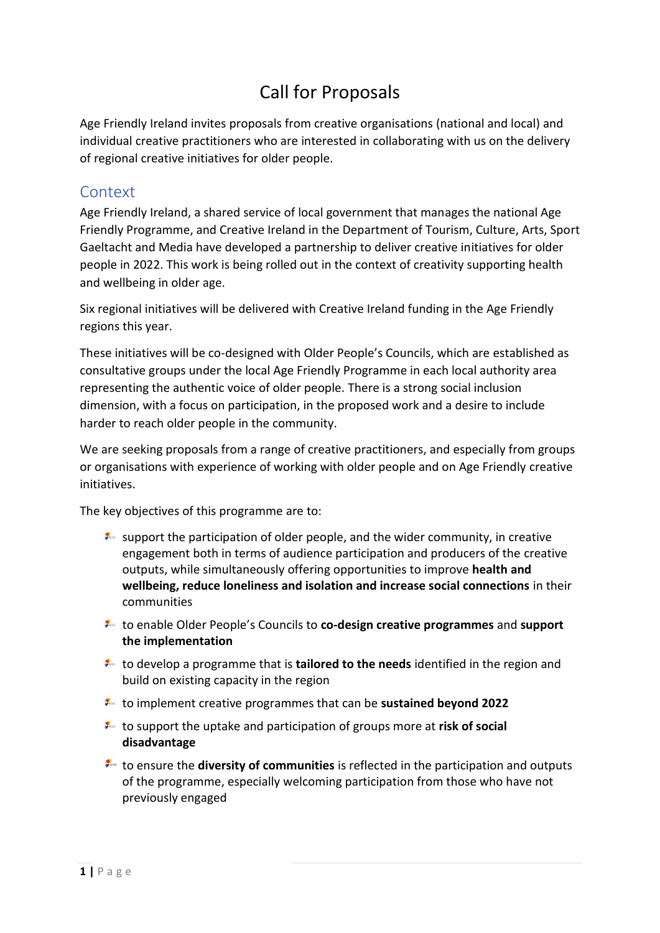# Call for Proposals

Age Friendly Ireland invites proposals from creative organisations (national and local) and individual creative practitioners who are interested in collaborating with us on the delivery of regional creative initiatives for older people.

#### **Context**

Age Friendly Ireland, a shared service of local government that manages the national Age Friendly Programme, and Creative Ireland in the Department of Tourism, Culture, Arts, Sport Gaeltacht and Media have developed a partnership to deliver creative initiatives for older people in 2022. This work is being rolled out in the context of creativity supporting health and wellbeing in older age.

Six regional initiatives will be delivered with Creative Ireland funding in the Age Friendly regions this year.

These initiatives will be co-designed with Older People's Councils, which are established as consultative groups under the local Age Friendly Programme in each local authority area representing the authentic voice of older people. There is a strong social inclusion dimension, with a focus on participation, in the proposed work and a desire to include harder to reach older people in the community.

We are seeking proposals from a range of creative practitioners, and especially from groups or organisations with experience of working with older people and on Age Friendly creative initiatives.

The key objectives of this programme are to:

- support the participation of older people, and the wider community, in creative engagement both in terms of audience participation and producers of the creative outputs, while simultaneously offering opportunities to improve **health and wellbeing, reduce loneliness and isolation and increase social connections** in their communities
- to enable Older People's Councils to **co-design creative programmes** and **support the implementation**
- to develop a programme that is **tailored to the needs** identified in the region and build on existing capacity in the region
- to implement creative programmes that can be **sustained beyond 2022**
- to support the uptake and participation of groups more at **risk of social disadvantage**
- to ensure the **diversity of communities** is reflected in the participation and outputs of the programme, especially welcoming participation from those who have not previously engaged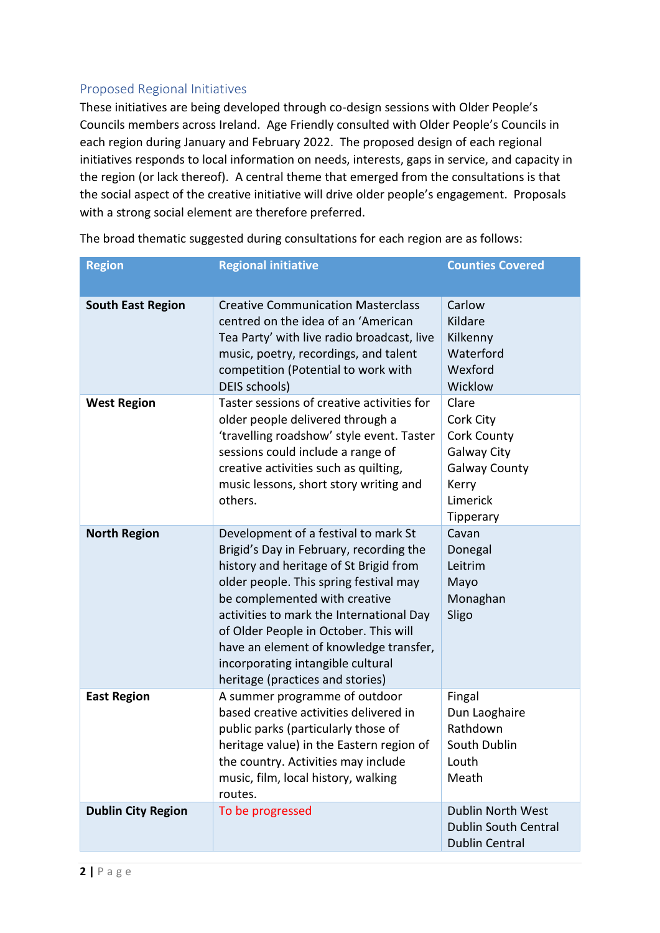#### Proposed Regional Initiatives

These initiatives are being developed through co-design sessions with Older People's Councils members across Ireland. Age Friendly consulted with Older People's Councils in each region during January and February 2022. The proposed design of each regional initiatives responds to local information on needs, interests, gaps in service, and capacity in the region (or lack thereof). A central theme that emerged from the consultations is that the social aspect of the creative initiative will drive older people's engagement. Proposals with a strong social element are therefore preferred.

| <b>Region</b>             | <b>Regional initiative</b>                                                                                                                                                                                                                                                                                                                                                                                   | <b>Counties Covered</b>                                                                                    |
|---------------------------|--------------------------------------------------------------------------------------------------------------------------------------------------------------------------------------------------------------------------------------------------------------------------------------------------------------------------------------------------------------------------------------------------------------|------------------------------------------------------------------------------------------------------------|
|                           |                                                                                                                                                                                                                                                                                                                                                                                                              |                                                                                                            |
| <b>South East Region</b>  | <b>Creative Communication Masterclass</b><br>centred on the idea of an 'American<br>Tea Party' with live radio broadcast, live<br>music, poetry, recordings, and talent<br>competition (Potential to work with<br>DEIS schools)                                                                                                                                                                              | Carlow<br>Kildare<br>Kilkenny<br>Waterford<br>Wexford<br>Wicklow                                           |
| <b>West Region</b>        | Taster sessions of creative activities for<br>older people delivered through a<br>'travelling roadshow' style event. Taster<br>sessions could include a range of<br>creative activities such as quilting,<br>music lessons, short story writing and<br>others.                                                                                                                                               | Clare<br>Cork City<br>Cork County<br>Galway City<br><b>Galway County</b><br>Kerry<br>Limerick<br>Tipperary |
| <b>North Region</b>       | Development of a festival to mark St<br>Brigid's Day in February, recording the<br>history and heritage of St Brigid from<br>older people. This spring festival may<br>be complemented with creative<br>activities to mark the International Day<br>of Older People in October. This will<br>have an element of knowledge transfer,<br>incorporating intangible cultural<br>heritage (practices and stories) | Cavan<br>Donegal<br>Leitrim<br>Mayo<br>Monaghan<br>Sligo                                                   |
| <b>East Region</b>        | A summer programme of outdoor<br>based creative activities delivered in<br>public parks (particularly those of<br>heritage value) in the Eastern region of<br>the country. Activities may include<br>music, film, local history, walking<br>routes.                                                                                                                                                          | Fingal<br>Dun Laoghaire<br>Rathdown<br>South Dublin<br>Louth<br>Meath                                      |
| <b>Dublin City Region</b> | To be progressed                                                                                                                                                                                                                                                                                                                                                                                             | <b>Dublin North West</b><br><b>Dublin South Central</b><br><b>Dublin Central</b>                           |

The broad thematic suggested during consultations for each region are as follows: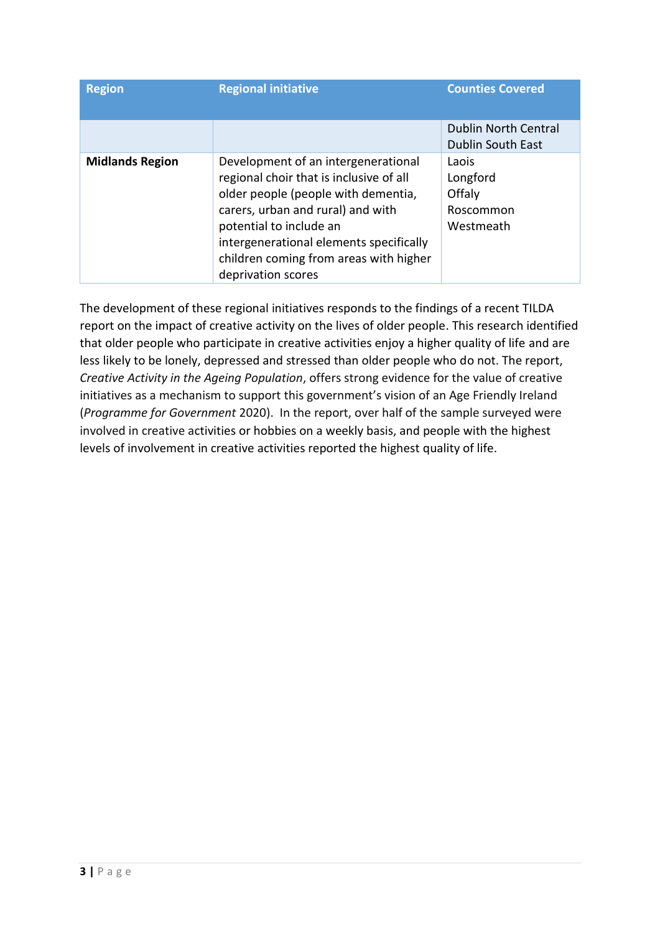| <b>Region</b>          | <b>Regional initiative</b>                                                                                                                                                                                                                                                                       | <b>Counties Covered</b>                                 |
|------------------------|--------------------------------------------------------------------------------------------------------------------------------------------------------------------------------------------------------------------------------------------------------------------------------------------------|---------------------------------------------------------|
|                        |                                                                                                                                                                                                                                                                                                  | <b>Dublin North Central</b><br><b>Dublin South East</b> |
| <b>Midlands Region</b> | Development of an intergenerational<br>regional choir that is inclusive of all<br>older people (people with dementia,<br>carers, urban and rural) and with<br>potential to include an<br>intergenerational elements specifically<br>children coming from areas with higher<br>deprivation scores | Laois<br>Longford<br>Offaly<br>Roscommon<br>Westmeath   |

The development of these regional initiatives responds to the findings of a recent TILDA report on the impact of creative activity on the lives of older people. This research identified that older people who participate in creative activities enjoy a higher quality of life and are less likely to be lonely, depressed and stressed than older people who do not. The report, *[Creative Activity in the Ageing Population](https://www.creativeireland.gov.ie/app/uploads/2021/11/Report_CreativeActivity_OlderPopulation-1.pdf)*, offers strong evidence for the value of creative initiatives as a mechanism to support this government's vision of an Age Friendly Ireland (*Programme for Government* 2020). In the report, over half of the sample surveyed were involved in creative activities or hobbies on a weekly basis, and people with the highest levels of involvement in creative activities reported the highest quality of life.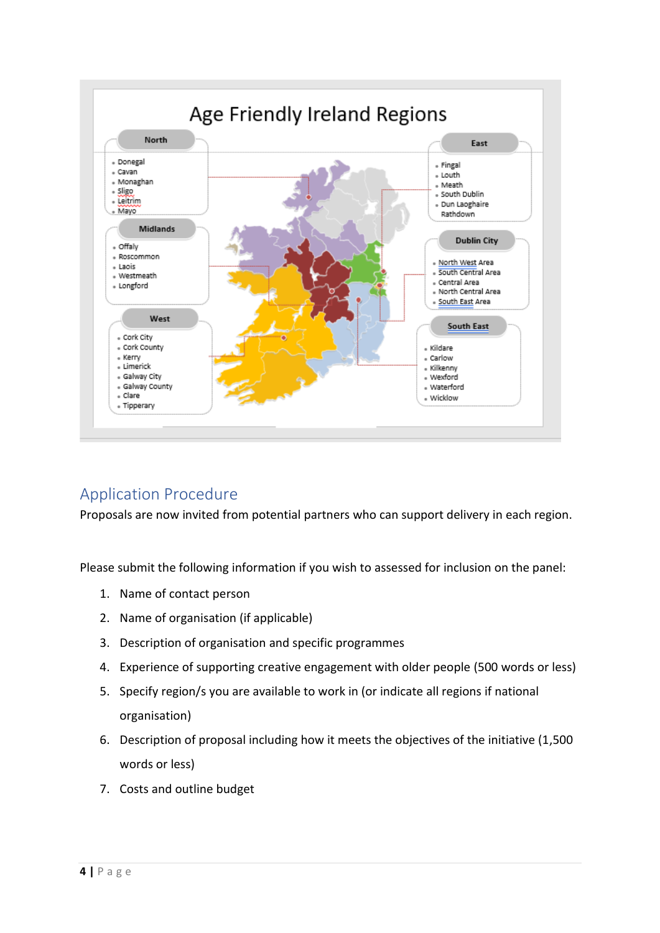

### Application Procedure

Proposals are now invited from potential partners who can support delivery in each region.

Please submit the following information if you wish to assessed for inclusion on the panel:

- 1. Name of contact person
- 2. Name of organisation (if applicable)
- 3. Description of organisation and specific programmes
- 4. Experience of supporting creative engagement with older people (500 words or less)
- 5. Specify region/s you are available to work in (or indicate all regions if national organisation)
- 6. Description of proposal including how it meets the objectives of the initiative (1,500 words or less)
- 7. Costs and outline budget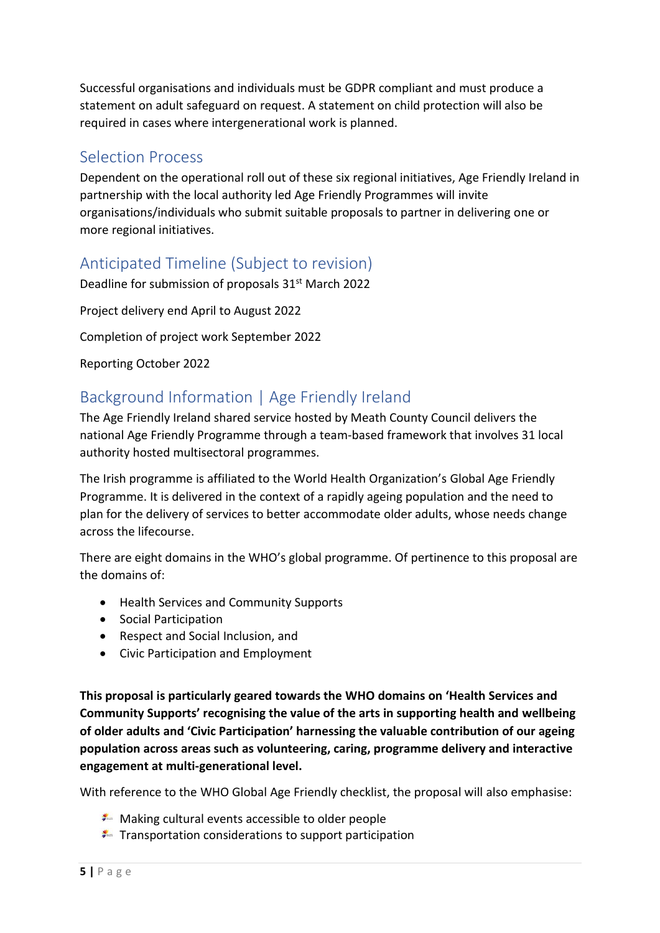Successful organisations and individuals must be GDPR compliant and must produce a statement on adult safeguard on request. A statement on child protection will also be required in cases where intergenerational work is planned.

#### Selection Process

Dependent on the operational roll out of these six regional initiatives, Age Friendly Ireland in partnership with the local authority led Age Friendly Programmes will invite organisations/individuals who submit suitable proposals to partner in delivering one or more regional initiatives.

## Anticipated Timeline (Subject to revision)

Deadline for submission of proposals 31<sup>st</sup> March 2022

Project delivery end April to August 2022

Completion of project work September 2022

Reporting October 2022

## Background Information | Age Friendly Ireland

The Age Friendly Ireland shared service hosted by Meath County Council delivers the national Age Friendly Programme through a team-based framework that involves 31 local authority hosted multisectoral programmes.

The Irish programme is affiliated to the World Health Organization's Global Age Friendly Programme. It is delivered in the context of a rapidly ageing population and the need to plan for the delivery of services to better accommodate older adults, whose needs change across the lifecourse.

There are eight domains in the WHO's global programme. Of pertinence to this proposal are the domains of:

- Health Services and Community Supports
- Social Participation
- Respect and Social Inclusion, and
- Civic Participation and Employment

**This proposal is particularly geared towards the WHO domains on 'Health Services and Community Supports' recognising the value of the arts in supporting health and wellbeing of older adults and 'Civic Participation' harnessing the valuable contribution of our ageing population across areas such as volunteering, caring, programme delivery and interactive engagement at multi-generational level.**

With reference to the WHO Global Age Friendly checklist, the proposal will also emphasise:

- $\blacktriangleright$  Making cultural events accessible to older people
- $\blacktriangleright$  Transportation considerations to support participation